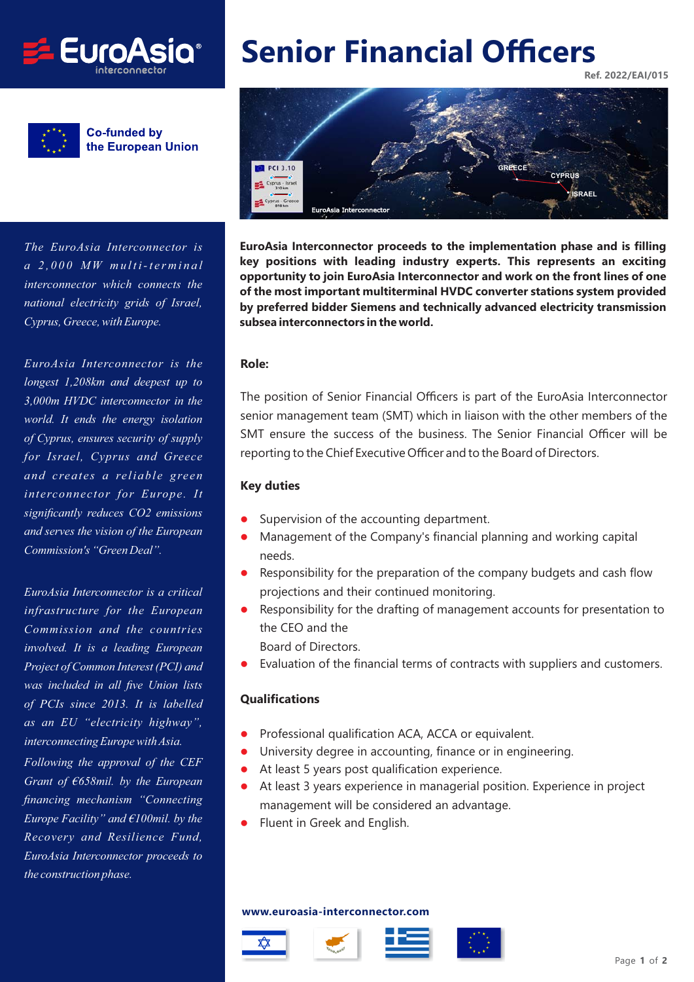

**Co-funded by** the European Union

*The EuroAsia Interconnector is a 2,000 MW multi-terminal interconnector which connects the national electricity grids of Israel, Cyprus, Greece, with Europe.*

*EuroAsia Interconnector is the longest 1,208km and deepest up to 3,000m HVDC interconnector in the world. It ends the energy isolation of Cyprus, ensures security of supply for Israel, Cyprus and Greece and creates a reliable green interconnector for Europe. It significantly reduces CO2 emissions and serves the vision of the European Commission's "Green Deal".*

*EuroAsia Interconnector is a critical infrastructure for the European Commission and the countries involved. It is a leading European Project of Common Interest (PCI) and was included in all five Union lists of PCIs since 2013. It is labelled as an EU "electricity highway", interconnecting Europe with Asia. Following the approval of the CEF Grant of €658mil. by the European*

*financing mechanism "Connecting Europe Facility" and €100mil. by the Recovery and Resilience Fund, EuroAsia Interconnector proceeds to the construction phase.*

# **Senior Financial Officers**

**Ref. 2022/EAI/015**



**EuroAsia Interconnector proceeds to the implementation phase and is filling key positions with leading industry experts. This represents an exciting opportunity to join EuroAsia Interconnector and work on the front lines of one of the most important multiterminal HVDC converter stations system provided by preferred bidder Siemens and technically advanced electricity transmission subsea interconnectors in the world.**

#### **Role:**

The position of Senior Financial Officers is part of the EuroAsia Interconnector senior management team (SMT) which in liaison with the other members of the SMT ensure the success of the business. The Senior Financial Officer will be reporting to the Chief Executive Officer and to the Board of Directors.

#### **Key duties**

- $\bullet$ Supervision of the accounting department.
- $\bullet$  Management of the Company's financial planning and working capital needs.
- $\bullet$  Responsibility for the preparation of the company budgets and cash flow projections and their continued monitoring.
- $\bullet$  Responsibility for the drafting of management accounts for presentation to the CEO and the Board of Directors
- $\bullet$ Evaluation of the financial terms of contracts with suppliers and customers.

#### **Qualifications**

- $\bullet$ Professional qualification ACA, ACCA or equivalent.
- $\bullet$ University degree in accounting, finance or in engineering.
- $\bullet$ At least 5 years post qualification experience.
- $\bullet$  At least 3 years experience in managerial position. Experience in project management will be considered an advantage.
- $\bullet$ Fluent in Greek and English.

#### **www.euroasia-interconnector.com**